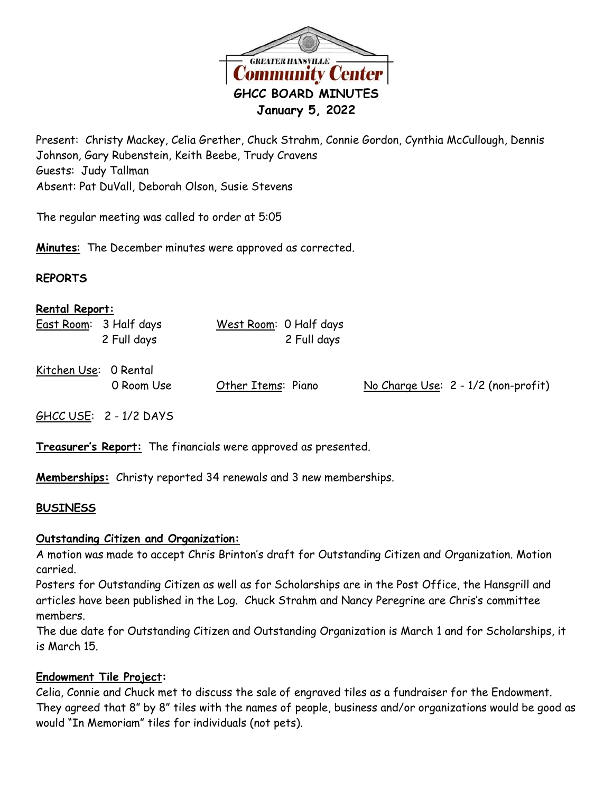

Present: Christy Mackey, Celia Grether, Chuck Strahm, Connie Gordon, Cynthia McCullough, Dennis Johnson, Gary Rubenstein, Keith Beebe, Trudy Cravens Guests: Judy Tallman Absent: Pat DuVall, Deborah Olson, Susie Stevens

The regular meeting was called to order at 5:05

**Minutes**: The December minutes were approved as corrected.

#### **REPORTS**

| <b>Rental Report:</b>  |             |                        |             |  |                                     |
|------------------------|-------------|------------------------|-------------|--|-------------------------------------|
| East Room: 3 Half days | 2 Full days | West Room: 0 Half days | 2 Full days |  |                                     |
| Kitchen Use: 0 Rental  | 0 Room Use  | Other Items: Piano     |             |  | No Charge Use: 2 - 1/2 (non-profit) |

GHCC USE: 2 - 1/2 DAYS

**Treasurer's Report:** The financials were approved as presented.

**Memberships:** Christy reported 34 renewals and 3 new memberships.

# **BUSINESS**

# **Outstanding Citizen and Organization:**

A motion was made to accept Chris Brinton's draft for Outstanding Citizen and Organization. Motion carried.

Posters for Outstanding Citizen as well as for Scholarships are in the Post Office, the Hansgrill and articles have been published in the Log. Chuck Strahm and Nancy Peregrine are Chris's committee members.

The due date for Outstanding Citizen and Outstanding Organization is March 1 and for Scholarships, it is March 15.

# **Endowment Tile Project:**

Celia, Connie and Chuck met to discuss the sale of engraved tiles as a fundraiser for the Endowment. They agreed that 8" by 8" tiles with the names of people, business and/or organizations would be good as would "In Memoriam" tiles for individuals (not pets).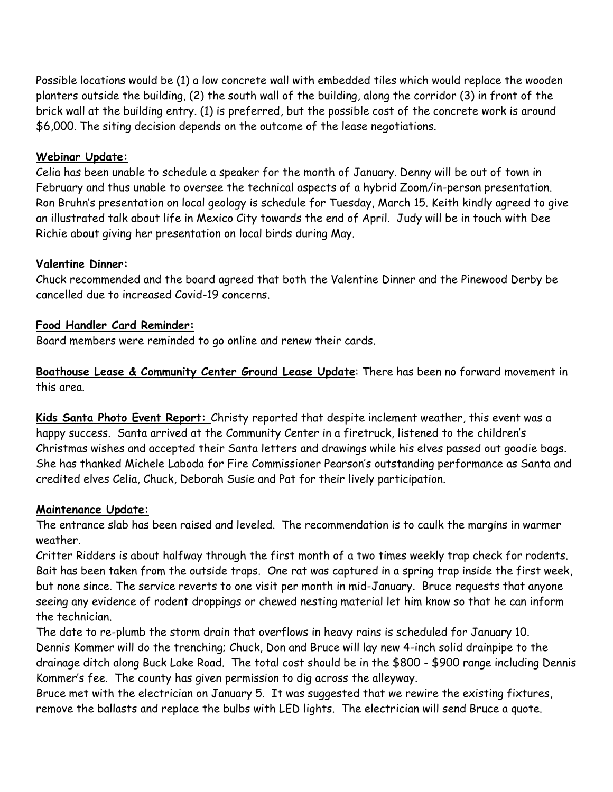Possible locations would be (1) a low concrete wall with embedded tiles which would replace the wooden planters outside the building, (2) the south wall of the building, along the corridor (3) in front of the brick wall at the building entry. (1) is preferred, but the possible cost of the concrete work is around \$6,000. The siting decision depends on the outcome of the lease negotiations.

# **Webinar Update:**

Celia has been unable to schedule a speaker for the month of January. Denny will be out of town in February and thus unable to oversee the technical aspects of a hybrid Zoom/in-person presentation. Ron Bruhn's presentation on local geology is schedule for Tuesday, March 15. Keith kindly agreed to give an illustrated talk about life in Mexico City towards the end of April. Judy will be in touch with Dee Richie about giving her presentation on local birds during May.

# **Valentine Dinner:**

Chuck recommended and the board agreed that both the Valentine Dinner and the Pinewood Derby be cancelled due to increased Covid-19 concerns.

# **Food Handler Card Reminder:**

Board members were reminded to go online and renew their cards.

**Boathouse Lease & Community Center Ground Lease Update**: There has been no forward movement in this area.

**Kids Santa Photo Event Report:** Christy reported that despite inclement weather, this event was a happy success. Santa arrived at the Community Center in a firetruck, listened to the children's Christmas wishes and accepted their Santa letters and drawings while his elves passed out goodie bags. She has thanked Michele Laboda for Fire Commissioner Pearson's outstanding performance as Santa and credited elves Celia, Chuck, Deborah Susie and Pat for their lively participation.

# **Maintenance Update:**

The entrance slab has been raised and leveled. The recommendation is to caulk the margins in warmer weather.

Critter Ridders is about halfway through the first month of a two times weekly trap check for rodents. Bait has been taken from the outside traps. One rat was captured in a spring trap inside the first week, but none since. The service reverts to one visit per month in mid-January. Bruce requests that anyone seeing any evidence of rodent droppings or chewed nesting material let him know so that he can inform the technician.

The date to re-plumb the storm drain that overflows in heavy rains is scheduled for January 10. Dennis Kommer will do the trenching; Chuck, Don and Bruce will lay new 4-inch solid drainpipe to the drainage ditch along Buck Lake Road. The total cost should be in the \$800 - \$900 range including Dennis Kommer's fee. The county has given permission to dig across the alleyway.

Bruce met with the electrician on January 5. It was suggested that we rewire the existing fixtures, remove the ballasts and replace the bulbs with LED lights. The electrician will send Bruce a quote.